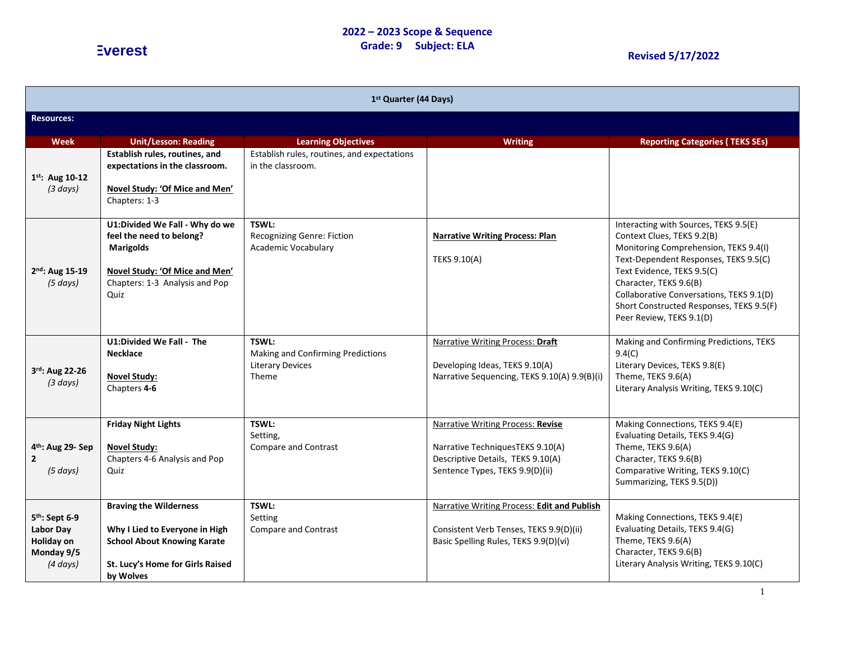### **2022 – 2023 Scope & Sequence Grade: 9 Subject: ELA Everest Revised 5/17/2022**

| 1 <sup>st</sup> Quarter (44 Days)                                               |                                                                                                                                                            |                                                                                |                                                                                                                                                      |                                                                                                                                                                                                                                                                                                                                   |  |  |
|---------------------------------------------------------------------------------|------------------------------------------------------------------------------------------------------------------------------------------------------------|--------------------------------------------------------------------------------|------------------------------------------------------------------------------------------------------------------------------------------------------|-----------------------------------------------------------------------------------------------------------------------------------------------------------------------------------------------------------------------------------------------------------------------------------------------------------------------------------|--|--|
| <b>Resources:</b>                                                               |                                                                                                                                                            |                                                                                |                                                                                                                                                      |                                                                                                                                                                                                                                                                                                                                   |  |  |
| Week                                                                            | <b>Unit/Lesson: Reading</b>                                                                                                                                | <b>Learning Objectives</b>                                                     | <b>Writing</b>                                                                                                                                       | <b>Reporting Categories (TEKS SEs)</b>                                                                                                                                                                                                                                                                                            |  |  |
| $1^{st}$ : Aug 10-12<br>(3 days)                                                | Establish rules, routines, and<br>expectations in the classroom.<br>Novel Study: 'Of Mice and Men'<br>Chapters: 1-3                                        | Establish rules, routines, and expectations<br>in the classroom.               |                                                                                                                                                      |                                                                                                                                                                                                                                                                                                                                   |  |  |
| 2nd: Aug 15-19<br>(5 days)                                                      | U1:Divided We Fall - Why do we<br>feel the need to belong?<br><b>Marigolds</b><br>Novel Study: 'Of Mice and Men'<br>Chapters: 1-3 Analysis and Pop<br>Ouiz | TSWL:<br><b>Recognizing Genre: Fiction</b><br><b>Academic Vocabulary</b>       | <b>Narrative Writing Process: Plan</b><br>TEKS 9.10(A)                                                                                               | Interacting with Sources, TEKS 9.5(E)<br>Context Clues, TEKS 9.2(B)<br>Monitoring Comprehension, TEKS 9.4(I)<br>Text-Dependent Responses, TEKS 9.5(C)<br>Text Evidence, TEKS 9.5(C)<br>Character, TEKS 9.6(B)<br>Collaborative Conversations, TEKS 9.1(D)<br>Short Constructed Responses, TEKS 9.5(F)<br>Peer Review, TEKS 9.1(D) |  |  |
| 3rd: Aug 22-26<br>(3 days)                                                      | U1:Divided We Fall - The<br><b>Necklace</b><br><b>Novel Study:</b><br>Chapters 4-6                                                                         | TSWL:<br>Making and Confirming Predictions<br><b>Literary Devices</b><br>Theme | Narrative Writing Process: Draft<br>Developing Ideas, TEKS 9.10(A)<br>Narrative Sequencing, TEKS 9.10(A) 9.9(B)(i)                                   | Making and Confirming Predictions, TEKS<br>9.4(C)<br>Literary Devices, TEKS 9.8(E)<br>Theme, TEKS 9.6(A)<br>Literary Analysis Writing, TEKS 9.10(C)                                                                                                                                                                               |  |  |
| 4 <sup>th</sup> : Aug 29- Sep<br>$\mathbf{2}$<br>(5 days)                       | <b>Friday Night Lights</b><br><b>Novel Study:</b><br>Chapters 4-6 Analysis and Pop<br>Quiz                                                                 | TSWL:<br>Setting,<br>Compare and Contrast                                      | <b>Narrative Writing Process: Revise</b><br>Narrative TechniquesTEKS 9.10(A)<br>Descriptive Details, TEKS 9.10(A)<br>Sentence Types, TEKS 9.9(D)(ii) | Making Connections, TEKS 9.4(E)<br>Evaluating Details, TEKS 9.4(G)<br>Theme, TEKS 9.6(A)<br>Character, TEKS 9.6(B)<br>Comparative Writing, TEKS 9.10(C)<br>Summarizing, TEKS 9.5(D))                                                                                                                                              |  |  |
| 5 <sup>th</sup> : Sept 6-9<br>Labor Day<br>Holiday on<br>Monday 9/5<br>(4 days) | <b>Braving the Wilderness</b><br>Why I Lied to Everyone in High<br><b>School About Knowing Karate</b><br>St. Lucy's Home for Girls Raised<br>by Wolves     | TSWL:<br>Setting<br>Compare and Contrast                                       | Narrative Writing Process: Edit and Publish<br>Consistent Verb Tenses, TEKS 9.9(D)(ii)<br>Basic Spelling Rules, TEKS 9.9(D)(vi)                      | Making Connections, TEKS 9.4(E)<br>Evaluating Details, TEKS 9.4(G)<br>Theme, TEKS 9.6(A)<br>Character, TEKS 9.6(B)<br>Literary Analysis Writing, TEKS 9.10(C)                                                                                                                                                                     |  |  |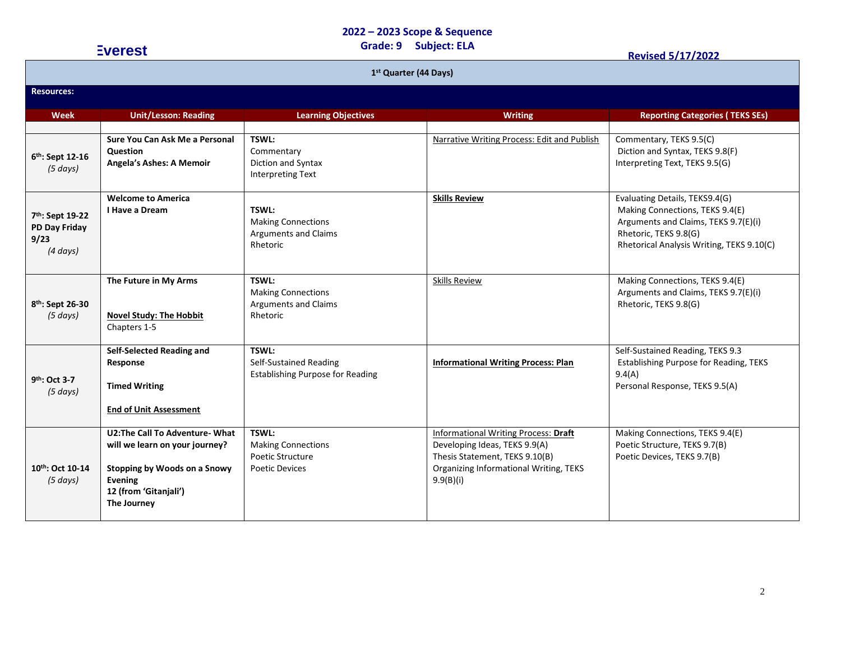### **Grade: 9 Subject: ELA Everest Revised 5/17/2022**

| 1 <sup>st</sup> Quarter (44 Days)                                      |                                                                                                                                                            |                                                                                      |                                                                                                                                                                       |                                                                                                                                                                                 |  |  |  |
|------------------------------------------------------------------------|------------------------------------------------------------------------------------------------------------------------------------------------------------|--------------------------------------------------------------------------------------|-----------------------------------------------------------------------------------------------------------------------------------------------------------------------|---------------------------------------------------------------------------------------------------------------------------------------------------------------------------------|--|--|--|
| <b>Resources:</b>                                                      |                                                                                                                                                            |                                                                                      |                                                                                                                                                                       |                                                                                                                                                                                 |  |  |  |
| Week                                                                   | <b>Unit/Lesson: Reading</b>                                                                                                                                | <b>Learning Objectives</b>                                                           | <b>Writing</b>                                                                                                                                                        | <b>Reporting Categories (TEKS SEs)</b>                                                                                                                                          |  |  |  |
| 6th: Sept 12-16<br>(5 days)                                            | Sure You Can Ask Me a Personal<br><b>Question</b><br><b>Angela's Ashes: A Memoir</b>                                                                       | TSWL:<br>Commentary<br>Diction and Syntax<br><b>Interpreting Text</b>                | Narrative Writing Process: Edit and Publish                                                                                                                           | Commentary, TEKS 9.5(C)<br>Diction and Syntax, TEKS 9.8(F)<br>Interpreting Text, TEKS 9.5(G)                                                                                    |  |  |  |
| 7 <sup>th</sup> : Sept 19-22<br>PD Day Friday<br>9/23<br>$(4 \, days)$ | <b>Welcome to America</b><br>I Have a Dream                                                                                                                | <b>TSWL:</b><br><b>Making Connections</b><br><b>Arguments and Claims</b><br>Rhetoric | <b>Skills Review</b>                                                                                                                                                  | Evaluating Details, TEKS9.4(G)<br>Making Connections, TEKS 9.4(E)<br>Arguments and Claims, TEKS 9.7(E)(i)<br>Rhetoric, TEKS 9.8(G)<br>Rhetorical Analysis Writing, TEKS 9.10(C) |  |  |  |
| 8 <sup>th</sup> : Sept 26-30<br>$(5 \, days)$                          | The Future in My Arms<br><b>Novel Study: The Hobbit</b><br>Chapters 1-5                                                                                    | TSWL:<br><b>Making Connections</b><br><b>Arguments and Claims</b><br>Rhetoric        | <b>Skills Review</b>                                                                                                                                                  | Making Connections, TEKS 9.4(E)<br>Arguments and Claims, TEKS 9.7(E)(i)<br>Rhetoric, TEKS 9.8(G)                                                                                |  |  |  |
| 9 <sup>th</sup> : Oct 3-7<br>(5 days)                                  | Self-Selected Reading and<br>Response<br><b>Timed Writing</b><br><b>End of Unit Assessment</b>                                                             | TSWL:<br>Self-Sustained Reading<br><b>Establishing Purpose for Reading</b>           | <b>Informational Writing Process: Plan</b>                                                                                                                            | Self-Sustained Reading, TEKS 9.3<br><b>Establishing Purpose for Reading, TEKS</b><br>9.4(A)<br>Personal Response, TEKS 9.5(A)                                                   |  |  |  |
| 10th: Oct 10-14<br>(5 days)                                            | U2: The Call To Adventure-What<br>will we learn on your journey?<br>Stopping by Woods on a Snowy<br><b>Evening</b><br>12 (from 'Gitanjali')<br>The Journey | TSWL:<br><b>Making Connections</b><br>Poetic Structure<br>Poetic Devices             | <b>Informational Writing Process: Draft</b><br>Developing Ideas, TEKS 9.9(A)<br>Thesis Statement, TEKS 9.10(B)<br>Organizing Informational Writing, TEKS<br>9.9(B)(i) | Making Connections, TEKS 9.4(E)<br>Poetic Structure, TEKS 9.7(B)<br>Poetic Devices, TEKS 9.7(B)                                                                                 |  |  |  |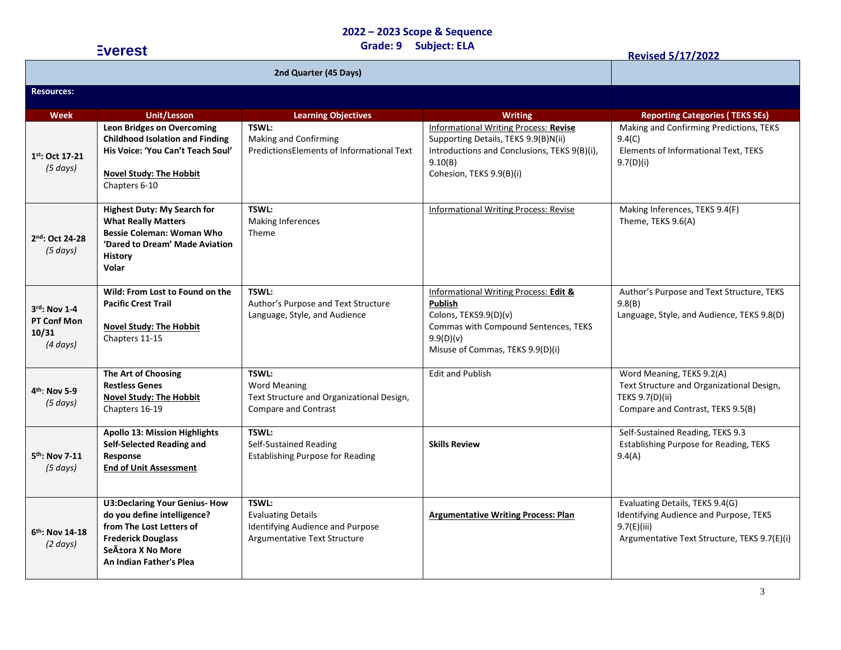| <b>Everest</b>                                           |                                                                                                                                                                             | Grade: 9 Subject: ELA                                                                                    |                                                                                                                                                                             | <b>Revised 5/17/2022</b>                                                                                                                 |
|----------------------------------------------------------|-----------------------------------------------------------------------------------------------------------------------------------------------------------------------------|----------------------------------------------------------------------------------------------------------|-----------------------------------------------------------------------------------------------------------------------------------------------------------------------------|------------------------------------------------------------------------------------------------------------------------------------------|
|                                                          |                                                                                                                                                                             |                                                                                                          |                                                                                                                                                                             |                                                                                                                                          |
| <b>Resources:</b>                                        |                                                                                                                                                                             |                                                                                                          |                                                                                                                                                                             |                                                                                                                                          |
| <b>Week</b>                                              | <b>Unit/Lesson</b>                                                                                                                                                          | <b>Learning Objectives</b>                                                                               | <b>Writing</b>                                                                                                                                                              | <b>Reporting Categories (TEKS SEs)</b>                                                                                                   |
| 1st: Oct 17-21<br>$(5 \, days)$                          | <b>Leon Bridges on Overcoming</b><br><b>Childhood Isolation and Finding</b><br>His Voice: 'You Can't Teach Soul'<br><b>Novel Study: The Hobbit</b><br>Chapters 6-10         | TSWL:<br>Making and Confirming<br>PredictionsElements of Informational Text                              | <b>Informational Writing Process: Revise</b><br>Supporting Details, TEKS 9.9(B)N(ii)<br>Introductions and Conclusions, TEKS 9(B)(i),<br>9.10(B)<br>Cohesion, TEKS 9.9(B)(i) | Making and Confirming Predictions, TEKS<br>9.4(C)<br>Elements of Informational Text, TEKS<br>9.7(D)(i)                                   |
| 2nd: Oct 24-28<br>(5 days)                               | <b>Highest Duty: My Search for</b><br><b>What Really Matters</b><br><b>Bessie Coleman: Woman Who</b><br>'Dared to Dream' Made Aviation<br><b>History</b><br>Volar           | TSWL:<br><b>Making Inferences</b><br>Theme                                                               | <b>Informational Writing Process: Revise</b>                                                                                                                                | Making Inferences, TEKS 9.4(F)<br>Theme, TEKS 9.6(A)                                                                                     |
| $3rd$ : Nov 1-4<br>PT Conf Mon<br>10/31<br>$(4 \, days)$ | Wild: From Lost to Found on the<br><b>Pacific Crest Trail</b><br><b>Novel Study: The Hobbit</b><br>Chapters 11-15                                                           | TSWL:<br>Author's Purpose and Text Structure<br>Language, Style, and Audience                            | Informational Writing Process: Edit &<br><b>Publish</b><br>Colons, TEKS9.9(D)(v)<br>Commas with Compound Sentences, TEKS<br>9.9(D)(v)<br>Misuse of Commas, TEKS 9.9(D)(i)   | Author's Purpose and Text Structure, TEKS<br>9.8(B)<br>Language, Style, and Audience, TEKS 9.8(D)                                        |
| 4 <sup>th</sup> : Nov 5-9<br>(5 days)                    | The Art of Choosing<br><b>Restless Genes</b><br><b>Novel Study: The Hobbit</b><br>Chapters 16-19                                                                            | TSWL:<br><b>Word Meaning</b><br>Text Structure and Organizational Design,<br><b>Compare and Contrast</b> | <b>Edit and Publish</b>                                                                                                                                                     | Word Meaning, TEKS 9.2(A)<br>Text Structure and Organizational Design,<br>TEKS 9.7(D)(ii)<br>Compare and Contrast, TEKS 9.5(B)           |
| 5 <sup>th</sup> : Nov 7-11<br>$(5 \, days)$              | <b>Apollo 13: Mission Highlights</b><br>Self-Selected Reading and<br>Response<br><b>End of Unit Assessment</b>                                                              | TSWL:<br>Self-Sustained Reading<br><b>Establishing Purpose for Reading</b>                               | <b>Skills Review</b>                                                                                                                                                        | Self-Sustained Reading, TEKS 9.3<br>Establishing Purpose for Reading, TEKS<br>9.4(A)                                                     |
| 6 <sup>th</sup> : Nov 14-18<br>$(2 \text{ days})$        | <b>U3:Declaring Your Genius- How</b><br>do you define intelligence?<br>from The Lost Letters of<br><b>Frederick Douglass</b><br>Señora X No More<br>An Indian Father's Plea | TSWL:<br><b>Evaluating Details</b><br>Identifying Audience and Purpose<br>Argumentative Text Structure   | <b>Argumentative Writing Process: Plan</b>                                                                                                                                  | Evaluating Details, TEKS 9.4(G)<br>Identifying Audience and Purpose, TEKS<br>9.7(E)(iii)<br>Argumentative Text Structure, TEKS 9.7(E)(i) |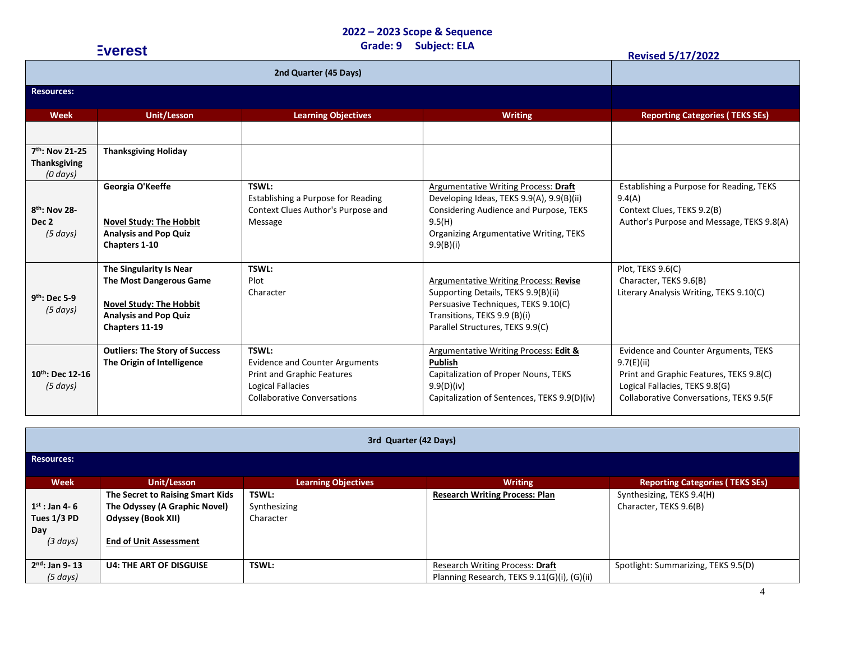| <b>Everest</b>                                                                  |                                                                                                                                        | <b>Subject: ELA</b><br>Grade: 9                                                                                                         |                                                                                                                                                                                              | <b>Revised 5/17/2022</b>                                                                                                                                                   |  |
|---------------------------------------------------------------------------------|----------------------------------------------------------------------------------------------------------------------------------------|-----------------------------------------------------------------------------------------------------------------------------------------|----------------------------------------------------------------------------------------------------------------------------------------------------------------------------------------------|----------------------------------------------------------------------------------------------------------------------------------------------------------------------------|--|
|                                                                                 |                                                                                                                                        |                                                                                                                                         |                                                                                                                                                                                              |                                                                                                                                                                            |  |
| <b>Resources:</b>                                                               |                                                                                                                                        |                                                                                                                                         |                                                                                                                                                                                              |                                                                                                                                                                            |  |
| <b>Week</b>                                                                     | <b>Unit/Lesson</b>                                                                                                                     | <b>Learning Objectives</b>                                                                                                              | <b>Writing</b>                                                                                                                                                                               | <b>Reporting Categories (TEKS SEs)</b>                                                                                                                                     |  |
| 7th: Nov 21-25<br><b>Thanksgiving</b>                                           | <b>Thanksgiving Holiday</b>                                                                                                            |                                                                                                                                         |                                                                                                                                                                                              |                                                                                                                                                                            |  |
| $(0 \, days)$<br>8 <sup>th</sup> : Nov 28-<br>Dec <sub>2</sub><br>$(5 \, days)$ | Georgia O'Keeffe<br><b>Novel Study: The Hobbit</b><br><b>Analysis and Pop Quiz</b><br>Chapters 1-10                                    | TSWL:<br>Establishing a Purpose for Reading<br>Context Clues Author's Purpose and<br>Message                                            | Argumentative Writing Process: Draft<br>Developing Ideas, TEKS 9.9(A), 9.9(B)(ii)<br>Considering Audience and Purpose, TEKS<br>9.5(H)<br>Organizing Argumentative Writing, TEKS<br>9.9(B)(i) | Establishing a Purpose for Reading, TEKS<br>9.4(A)<br>Context Clues, TEKS 9.2(B)<br>Author's Purpose and Message, TEKS 9.8(A)                                              |  |
| $9th$ : Dec 5-9<br>(5 days)                                                     | The Singularity Is Near<br>The Most Dangerous Game<br><b>Novel Study: The Hobbit</b><br><b>Analysis and Pop Quiz</b><br>Chapters 11-19 | TSWL:<br>Plot<br>Character                                                                                                              | Argumentative Writing Process: Revise<br>Supporting Details, TEKS 9.9(B)(ii)<br>Persuasive Techniques, TEKS 9.10(C)<br>Transitions, TEKS 9.9 (B)(i)<br>Parallel Structures, TEKS 9.9(C)      | Plot, TEKS 9.6(C)<br>Character, TEKS 9.6(B)<br>Literary Analysis Writing, TEKS 9.10(C)                                                                                     |  |
| 10th: Dec 12-16<br>(5 days)                                                     | <b>Outliers: The Story of Success</b><br>The Origin of Intelligence                                                                    | TSWL:<br><b>Evidence and Counter Arguments</b><br>Print and Graphic Features<br>Logical Fallacies<br><b>Collaborative Conversations</b> | <b>Argumentative Writing Process: Edit &amp;</b><br><b>Publish</b><br>Capitalization of Proper Nouns, TEKS<br>9.9(D)(iv)<br>Capitalization of Sentences, TEKS 9.9(D)(iv)                     | Evidence and Counter Arguments, TEKS<br>9.7(E)(ii)<br>Print and Graphic Features, TEKS 9.8(C)<br>Logical Fallacies, TEKS 9.8(G)<br>Collaborative Conversations, TEKS 9.5(F |  |

| 3rd Quarter (42 Days)                                          |                                                                                                                                 |                                    |                                                                                |                                                     |  |  |
|----------------------------------------------------------------|---------------------------------------------------------------------------------------------------------------------------------|------------------------------------|--------------------------------------------------------------------------------|-----------------------------------------------------|--|--|
| <b>Resources:</b>                                              |                                                                                                                                 |                                    |                                                                                |                                                     |  |  |
| <b>Week</b>                                                    | Unit/Lesson                                                                                                                     | <b>Learning Objectives</b>         | <b>Writing</b>                                                                 | <b>Reporting Categories (TEKS SEs)</b>              |  |  |
| $1^{st}$ : Jan 4-6<br>Tues 1/3 PD<br>Day<br>$(3 \text{ days})$ | The Secret to Raising Smart Kids<br>The Odyssey (A Graphic Novel)<br><b>Odyssey (Book XII)</b><br><b>End of Unit Assessment</b> | TSWL:<br>Synthesizing<br>Character | <b>Research Writing Process: Plan</b>                                          | Synthesizing, TEKS 9.4(H)<br>Character, TEKS 9.6(B) |  |  |
| $2nd$ : Jan 9-13<br>(5 days)                                   | <b>U4: THE ART OF DISGUISE</b>                                                                                                  | TSWL:                              | Research Writing Process: Draft<br>Planning Research, TEKS 9.11(G)(i), (G)(ii) | Spotlight: Summarizing, TEKS 9.5(D)                 |  |  |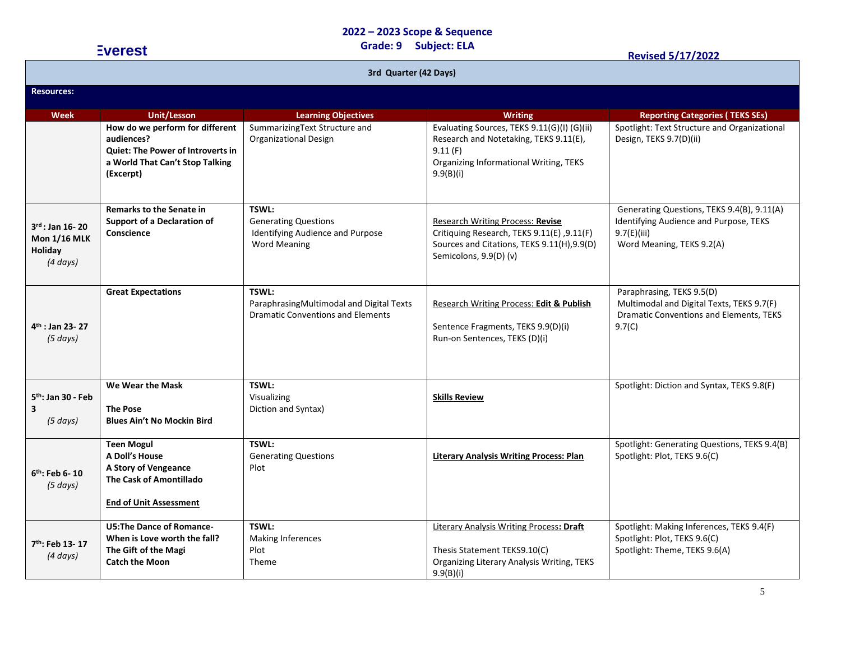|                                                                                 | <b>Everest</b>                                                                                                                     | <b>Subject: ELA</b><br>Grade: 9<br><b>Revised 5/17/2022</b>                                     |                                                                                                                                                         |                                                                                                                                    |  |  |  |
|---------------------------------------------------------------------------------|------------------------------------------------------------------------------------------------------------------------------------|-------------------------------------------------------------------------------------------------|---------------------------------------------------------------------------------------------------------------------------------------------------------|------------------------------------------------------------------------------------------------------------------------------------|--|--|--|
| 3rd Quarter (42 Days)                                                           |                                                                                                                                    |                                                                                                 |                                                                                                                                                         |                                                                                                                                    |  |  |  |
| <b>Resources:</b>                                                               |                                                                                                                                    |                                                                                                 |                                                                                                                                                         |                                                                                                                                    |  |  |  |
| <b>Week</b>                                                                     | <b>Unit/Lesson</b>                                                                                                                 | <b>Learning Objectives</b>                                                                      | <b>Writing</b>                                                                                                                                          | <b>Reporting Categories (TEKS SEs)</b>                                                                                             |  |  |  |
|                                                                                 | How do we perform for different<br>audiences?<br>Quiet: The Power of Introverts in<br>a World That Can't Stop Talking<br>(Excerpt) | SummarizingText Structure and<br>Organizational Design                                          | Evaluating Sources, TEKS 9.11(G)(I) (G)(ii)<br>Research and Notetaking, TEKS 9.11(E),<br>9.11(F)<br>Organizing Informational Writing, TEKS<br>9.9(B)(i) | Spotlight: Text Structure and Organizational<br>Design, TEKS 9.7(D)(ii)                                                            |  |  |  |
| $3^{\text{rd}}$ : Jan 16- 20<br><b>Mon 1/16 MLK</b><br>Holiday<br>$(4 \, days)$ | <b>Remarks to the Senate in</b><br><b>Support of a Declaration of</b><br>Conscience                                                | TSWL:<br><b>Generating Questions</b><br>Identifying Audience and Purpose<br><b>Word Meaning</b> | Research Writing Process: Revise<br>Critiquing Research, TEKS 9.11(E), 9.11(F)<br>Sources and Citations, TEKS 9.11(H), 9.9(D)<br>Semicolons, 9.9(D) (v) | Generating Questions, TEKS 9.4(B), 9.11(A)<br>Identifying Audience and Purpose, TEKS<br>9.7(E)(iii)<br>Word Meaning, TEKS 9.2(A)   |  |  |  |
| 4 <sup>th</sup> : Jan 23- 27<br>(5 days)                                        | <b>Great Expectations</b>                                                                                                          | TSWL:<br>ParaphrasingMultimodal and Digital Texts<br><b>Dramatic Conventions and Elements</b>   | Research Writing Process: Edit & Publish<br>Sentence Fragments, TEKS 9.9(D)(i)<br>Run-on Sentences, TEKS (D)(i)                                         | Paraphrasing, TEKS 9.5(D)<br>Multimodal and Digital Texts, TEKS 9.7(F)<br><b>Dramatic Conventions and Elements, TEKS</b><br>9.7(C) |  |  |  |
| 5 <sup>th</sup> : Jan 30 - Feb<br>$(5 \, days)$                                 | We Wear the Mask<br><b>The Pose</b><br><b>Blues Ain't No Mockin Bird</b>                                                           | TSWL:<br>Visualizing<br>Diction and Syntax)                                                     | <b>Skills Review</b>                                                                                                                                    | Spotlight: Diction and Syntax, TEKS 9.8(F)                                                                                         |  |  |  |
| 6 <sup>th</sup> : Feb 6- 10<br>$(5 \, days)$                                    | <b>Teen Mogul</b><br>A Doll's House<br>A Story of Vengeance<br>The Cask of Amontillado<br><b>End of Unit Assessment</b>            | <b>TSWL:</b><br><b>Generating Questions</b><br>Plot                                             | <b>Literary Analysis Writing Process: Plan</b>                                                                                                          | Spotlight: Generating Questions, TEKS 9.4(B)<br>Spotlight: Plot, TEKS 9.6(C)                                                       |  |  |  |
| 7 <sup>th</sup> : Feb 13- 17<br>$(4 \, days)$                                   | <b>U5:The Dance of Romance-</b><br>When is Love worth the fall?<br>The Gift of the Magi<br><b>Catch the Moon</b>                   | TSWL:<br><b>Making Inferences</b><br>Plot<br>Theme                                              | <b>Literary Analysis Writing Process: Draft</b><br>Thesis Statement TEKS9.10(C)<br>Organizing Literary Analysis Writing, TEKS<br>9.9(B)(i)              | Spotlight: Making Inferences, TEKS 9.4(F)<br>Spotlight: Plot, TEKS 9.6(C)<br>Spotlight: Theme, TEKS 9.6(A)                         |  |  |  |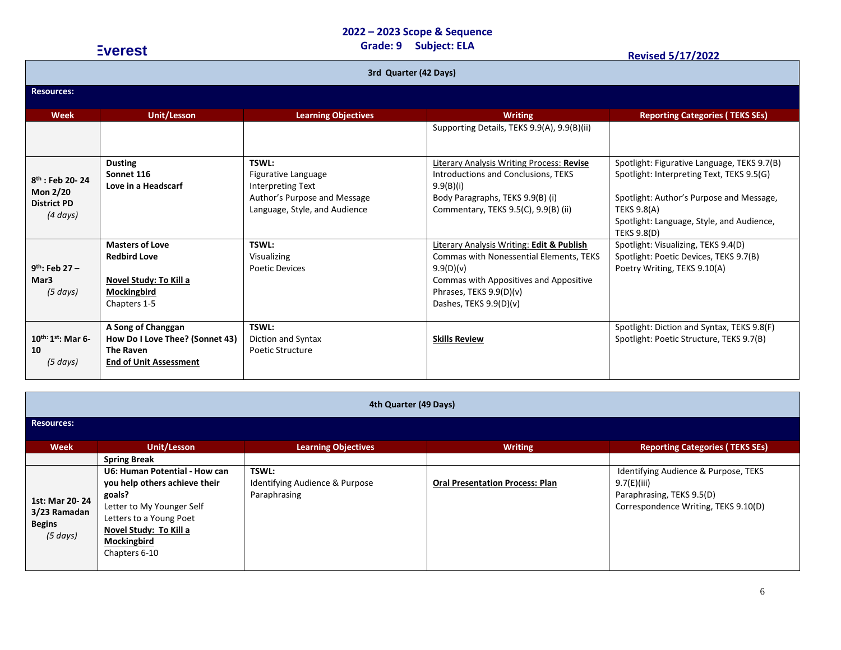### **Grade: 9 Subject: ELA Everest Revised 5/17/2022**

| 3rd Quarter (42 Days)                                                     |                                                                                                            |                                                                                                                                  |                                                                                                                                                                                                    |                                                                                                                                                                                                                               |  |
|---------------------------------------------------------------------------|------------------------------------------------------------------------------------------------------------|----------------------------------------------------------------------------------------------------------------------------------|----------------------------------------------------------------------------------------------------------------------------------------------------------------------------------------------------|-------------------------------------------------------------------------------------------------------------------------------------------------------------------------------------------------------------------------------|--|
| <b>Resources:</b>                                                         |                                                                                                            |                                                                                                                                  |                                                                                                                                                                                                    |                                                                                                                                                                                                                               |  |
| Week                                                                      | <b>Unit/Lesson</b>                                                                                         | <b>Learning Objectives</b>                                                                                                       | <b>Writing</b>                                                                                                                                                                                     | <b>Reporting Categories (TEKS SEs)</b>                                                                                                                                                                                        |  |
|                                                                           |                                                                                                            |                                                                                                                                  | Supporting Details, TEKS 9.9(A), 9.9(B)(ii)                                                                                                                                                        |                                                                                                                                                                                                                               |  |
| $8^{th}$ : Feb 20-24<br><b>Mon 2/20</b><br><b>District PD</b><br>(4 days) | <b>Dusting</b><br>Sonnet 116<br>Love in a Headscarf                                                        | <b>TSWL:</b><br>Figurative Language<br><b>Interpreting Text</b><br>Author's Purpose and Message<br>Language, Style, and Audience | Literary Analysis Writing Process: Revise<br>Introductions and Conclusions, TEKS<br>9.9(B)(i)<br>Body Paragraphs, TEKS 9.9(B) (i)<br>Commentary, TEKS 9.5(C), 9.9(B) (ii)                          | Spotlight: Figurative Language, TEKS 9.7(B)<br>Spotlight: Interpreting Text, TEKS 9.5(G)<br>Spotlight: Author's Purpose and Message,<br><b>TEKS 9.8(A)</b><br>Spotlight: Language, Style, and Audience,<br><b>TEKS 9.8(D)</b> |  |
| $9^{th}$ : Feb 27 -<br>Mar3<br>(5 days)                                   | <b>Masters of Love</b><br><b>Redbird Love</b><br>Novel Study: To Kill a<br>Mockingbird<br>Chapters 1-5     | TSWL:<br>Visualizing<br><b>Poetic Devices</b>                                                                                    | Literary Analysis Writing: Edit & Publish<br>Commas with Nonessential Elements, TEKS<br>9.9(D)(v)<br>Commas with Appositives and Appositive<br>Phrases, TEKS 9.9(D)(v)<br>Dashes, TEKS $9.9(D)(v)$ | Spotlight: Visualizing, TEKS 9.4(D)<br>Spotlight: Poetic Devices, TEKS 9.7(B)<br>Poetry Writing, TEKS 9.10(A)                                                                                                                 |  |
| $10^{th:}1^{st}$ : Mar 6-<br>10<br>(5 days)                               | A Song of Changgan<br>How Do I Love Thee? (Sonnet 43)<br><b>The Raven</b><br><b>End of Unit Assessment</b> | TSWL:<br>Diction and Syntax<br><b>Poetic Structure</b>                                                                           | <b>Skills Review</b>                                                                                                                                                                               | Spotlight: Diction and Syntax, TEKS 9.8(F)<br>Spotlight: Poetic Structure, TEKS 9.7(B)                                                                                                                                        |  |

| 4th Quarter (49 Days)                                       |                                                                                                                                                                                                  |                                                                |                                        |                                                                                                                          |  |  |
|-------------------------------------------------------------|--------------------------------------------------------------------------------------------------------------------------------------------------------------------------------------------------|----------------------------------------------------------------|----------------------------------------|--------------------------------------------------------------------------------------------------------------------------|--|--|
| <b>Resources:</b>                                           |                                                                                                                                                                                                  |                                                                |                                        |                                                                                                                          |  |  |
| <b>Week</b>                                                 | Unit/Lesson                                                                                                                                                                                      | <b>Learning Objectives</b>                                     | <b>Writing</b>                         | <b>Reporting Categories (TEKS SEs)</b>                                                                                   |  |  |
| 1st: Mar 20-24<br>3/23 Ramadan<br><b>Begins</b><br>(5 days) | <b>Spring Break</b><br>U6: Human Potential - How can<br>you help others achieve their<br>goals?<br>Letter to My Younger Self<br>Letters to a Young Poet<br>Novel Study: To Kill a<br>Mockingbird | <b>TSWL:</b><br>Identifying Audience & Purpose<br>Paraphrasing | <b>Oral Presentation Process: Plan</b> | Identifying Audience & Purpose, TEKS<br>9.7(E)(iii)<br>Paraphrasing, TEKS 9.5(D)<br>Correspondence Writing, TEKS 9.10(D) |  |  |
|                                                             | Chapters 6-10                                                                                                                                                                                    |                                                                |                                        |                                                                                                                          |  |  |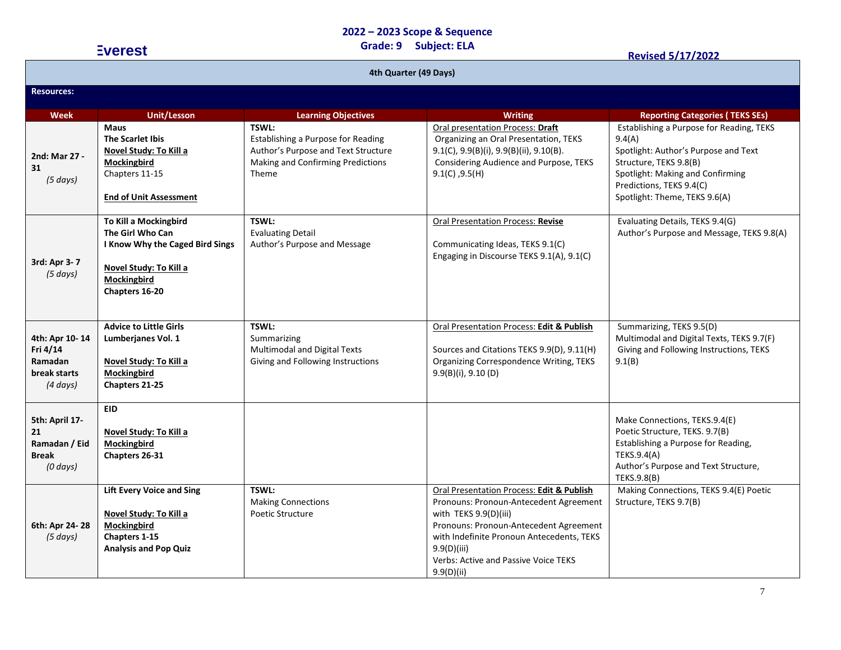|                                                                          | <b>Everest</b>                                                                                                                            | <b>Subject: ELA</b><br>Grade: 9<br><b>Revised 5/17/2022</b>                                                                      |                                                                                                                                                                                                                                                                          |                                                                                                                                                                                                                       |  |
|--------------------------------------------------------------------------|-------------------------------------------------------------------------------------------------------------------------------------------|----------------------------------------------------------------------------------------------------------------------------------|--------------------------------------------------------------------------------------------------------------------------------------------------------------------------------------------------------------------------------------------------------------------------|-----------------------------------------------------------------------------------------------------------------------------------------------------------------------------------------------------------------------|--|
| 4th Quarter (49 Days)                                                    |                                                                                                                                           |                                                                                                                                  |                                                                                                                                                                                                                                                                          |                                                                                                                                                                                                                       |  |
| <b>Resources:</b>                                                        |                                                                                                                                           |                                                                                                                                  |                                                                                                                                                                                                                                                                          |                                                                                                                                                                                                                       |  |
| <b>Week</b>                                                              | <b>Unit/Lesson</b>                                                                                                                        | <b>Learning Objectives</b>                                                                                                       | <b>Writing</b>                                                                                                                                                                                                                                                           | <b>Reporting Categories (TEKS SEs)</b>                                                                                                                                                                                |  |
| 2nd: Mar 27 -<br>31<br>(5 days)                                          | <b>Maus</b><br><b>The Scarlet Ibis</b><br>Novel Study: To Kill a<br><b>Mockingbird</b><br>Chapters 11-15<br><b>End of Unit Assessment</b> | TSWL:<br>Establishing a Purpose for Reading<br>Author's Purpose and Text Structure<br>Making and Confirming Predictions<br>Theme | Oral presentation Process: Draft<br>Organizing an Oral Presentation, TEKS<br>9.1(C), 9.9(B)(i), 9.9(B)(ii), 9.10(B).<br>Considering Audience and Purpose, TEKS<br>$9.1(C)$ , $9.5(H)$                                                                                    | Establishing a Purpose for Reading, TEKS<br>9.4(A)<br>Spotlight: Author's Purpose and Text<br>Structure, TEKS 9.8(B)<br>Spotlight: Making and Confirming<br>Predictions, TEKS 9.4(C)<br>Spotlight: Theme, TEKS 9.6(A) |  |
| 3rd: Apr 3-7<br>(5 days)                                                 | To Kill a Mockingbird<br>The Girl Who Can<br>I Know Why the Caged Bird Sings<br>Novel Study: To Kill a<br>Mockingbird<br>Chapters 16-20   | TSWL:<br><b>Evaluating Detail</b><br>Author's Purpose and Message                                                                | Oral Presentation Process: Revise<br>Communicating Ideas, TEKS 9.1(C)<br>Engaging in Discourse TEKS 9.1(A), 9.1(C)                                                                                                                                                       | Evaluating Details, TEKS 9.4(G)<br>Author's Purpose and Message, TEKS 9.8(A)                                                                                                                                          |  |
| 4th: Apr 10-14<br>Fri 4/14<br><b>Ramadan</b><br>break starts<br>(4 days) | <b>Advice to Little Girls</b><br>Lumberjanes Vol. 1<br>Novel Study: To Kill a<br>Mockingbird<br>Chapters 21-25                            | TSWL:<br>Summarizing<br>Multimodal and Digital Texts<br>Giving and Following Instructions                                        | Oral Presentation Process: Edit & Publish<br>Sources and Citations TEKS 9.9(D), 9.11(H)<br>Organizing Correspondence Writing, TEKS<br>$9.9(B)(i)$ , $9.10(D)$                                                                                                            | Summarizing, TEKS 9.5(D)<br>Multimodal and Digital Texts, TEKS 9.7(F)<br>Giving and Following Instructions, TEKS<br>9.1(B)                                                                                            |  |
| 5th: April 17-<br>21<br>Ramadan / Eid<br><b>Break</b><br>$(0 \, days)$   | EID<br>Novel Study: To Kill a<br>Mockingbird<br>Chapters 26-31                                                                            |                                                                                                                                  |                                                                                                                                                                                                                                                                          | Make Connections, TEKS.9.4(E)<br>Poetic Structure, TEKS. 9.7(B)<br>Establishing a Purpose for Reading,<br>TEKS.9.4(A)<br>Author's Purpose and Text Structure,<br>TEKS.9.8(B)                                          |  |
| 6th: Apr 24-28<br>(5 days)                                               | <b>Lift Every Voice and Sing</b><br>Novel Study: To Kill a<br>Mockingbird<br>Chapters 1-15<br><b>Analysis and Pop Quiz</b>                | TSWL:<br><b>Making Connections</b><br>Poetic Structure                                                                           | Oral Presentation Process: Edit & Publish<br>Pronouns: Pronoun-Antecedent Agreement<br>with TEKS 9.9(D)(iii)<br>Pronouns: Pronoun-Antecedent Agreement<br>with Indefinite Pronoun Antecedents, TEKS<br>9.9(D)(iii)<br>Verbs: Active and Passive Voice TEKS<br>9.9(D)(ii) | Making Connections, TEKS 9.4(E) Poetic<br>Structure, TEKS 9.7(B)                                                                                                                                                      |  |